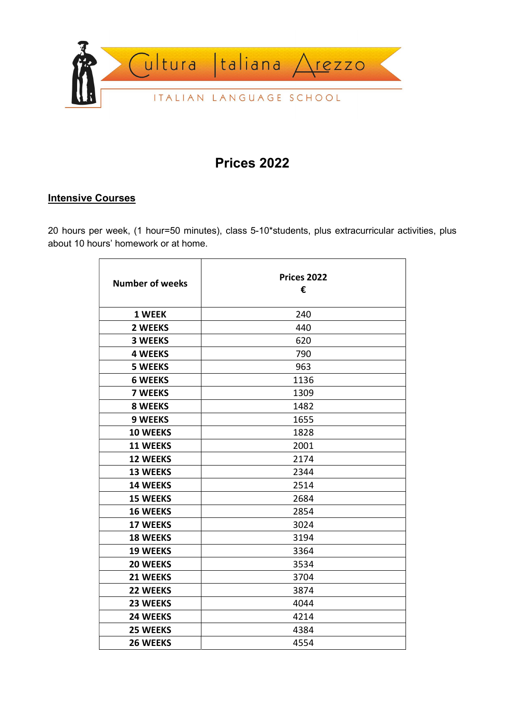

# Prices 2022

### **Intensive Courses**

20 hours per week, (1 hour=50 minutes), class 5-10\*students, plus extracurricular activities, plus about 10 hours' homework or at home.

| <b>Number of weeks</b> | <b>Prices 2022</b> |  |
|------------------------|--------------------|--|
|                        | €                  |  |
| 1 WEEK                 | 240                |  |
| <b>2 WEEKS</b>         | 440                |  |
|                        |                    |  |
| <b>3 WEEKS</b>         | 620                |  |
| <b>4 WEEKS</b>         | 790                |  |
| <b>5 WEEKS</b>         | 963                |  |
| <b>6 WEEKS</b>         | 1136               |  |
| <b>7 WEEKS</b>         | 1309               |  |
| <b>8 WEEKS</b>         | 1482               |  |
| <b>9 WEEKS</b>         | 1655               |  |
| <b>10 WEEKS</b>        | 1828               |  |
| <b>11 WEEKS</b>        | 2001               |  |
| <b>12 WEEKS</b>        | 2174               |  |
| <b>13 WEEKS</b>        | 2344               |  |
| <b>14 WEEKS</b>        | 2514               |  |
| <b>15 WEEKS</b>        | 2684               |  |
| <b>16 WEEKS</b>        | 2854               |  |
| <b>17 WEEKS</b>        | 3024               |  |
| <b>18 WEEKS</b>        | 3194               |  |
| <b>19 WEEKS</b>        | 3364               |  |
| <b>20 WEEKS</b>        | 3534               |  |
| 21 WEEKS               | 3704               |  |
| <b>22 WEEKS</b>        | 3874               |  |
| 23 WEEKS               | 4044               |  |
| 24 WEEKS               | 4214               |  |
| 25 WEEKS               | 4384               |  |
| <b>26 WEEKS</b>        | 4554               |  |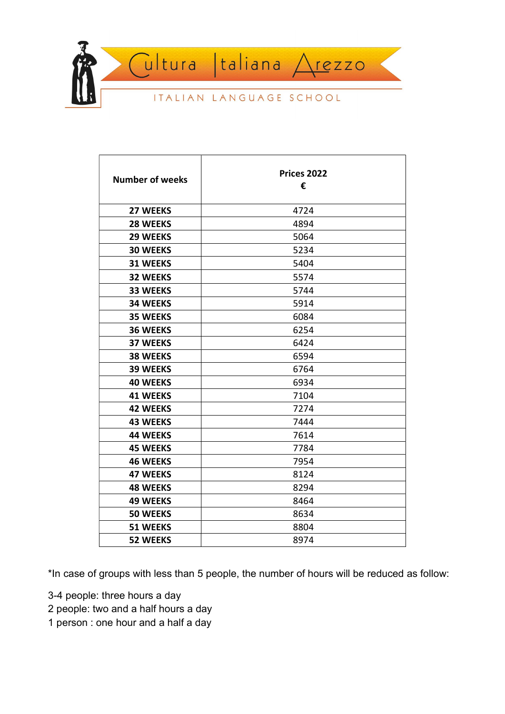

| <b>Number of weeks</b> | <b>Prices 2022</b><br>€ |
|------------------------|-------------------------|
| <b>27 WEEKS</b>        | 4724                    |
| 28 WEEKS               | 4894                    |
| 29 WEEKS               | 5064                    |
| <b>30 WEEKS</b>        | 5234                    |
| 31 WEEKS               | 5404                    |
| <b>32 WEEKS</b>        | 5574                    |
| 33 WEEKS               | 5744                    |
| <b>34 WEEKS</b>        | 5914                    |
| <b>35 WEEKS</b>        | 6084                    |
| <b>36 WEEKS</b>        | 6254                    |
| <b>37 WEEKS</b>        | 6424                    |
| <b>38 WEEKS</b>        | 6594                    |
| 39 WEEKS               | 6764                    |
| <b>40 WEEKS</b>        | 6934                    |
| <b>41 WEEKS</b>        | 7104                    |
| <b>42 WEEKS</b>        | 7274                    |
| <b>43 WEEKS</b>        | 7444                    |
| <b>44 WEEKS</b>        | 7614                    |
| <b>45 WEEKS</b>        | 7784                    |
| <b>46 WEEKS</b>        | 7954                    |
| <b>47 WEEKS</b>        | 8124                    |
| <b>48 WEEKS</b>        | 8294                    |
| <b>49 WEEKS</b>        | 8464                    |
| <b>50 WEEKS</b>        | 8634                    |
| 51 WEEKS               | 8804                    |
| <b>52 WEEKS</b>        | 8974                    |

\*In case of groups with less than 5 people, the number of hours will be reduced as follow:

- 3-4 people: three hours a day
- 2 people: two and a half hours a day
- 1 person : one hour and a half a day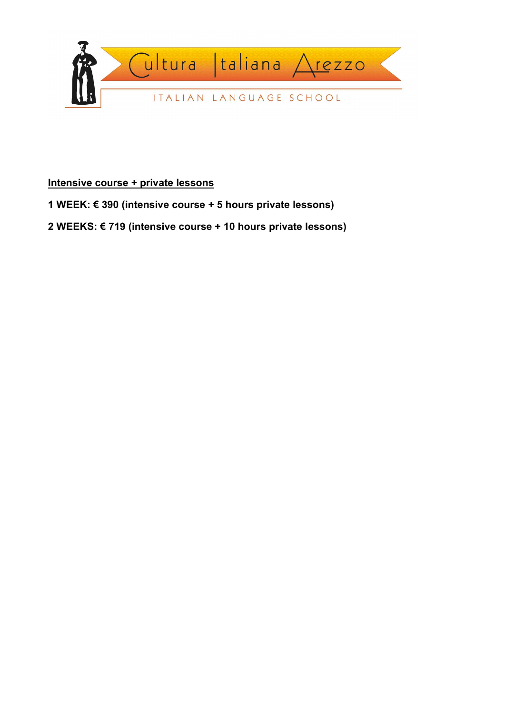

## Intensive course + private lessons

1 WEEK: € 390 (intensive course + 5 hours private lessons)

2 WEEKS: € 719 (intensive course + 10 hours private lessons)